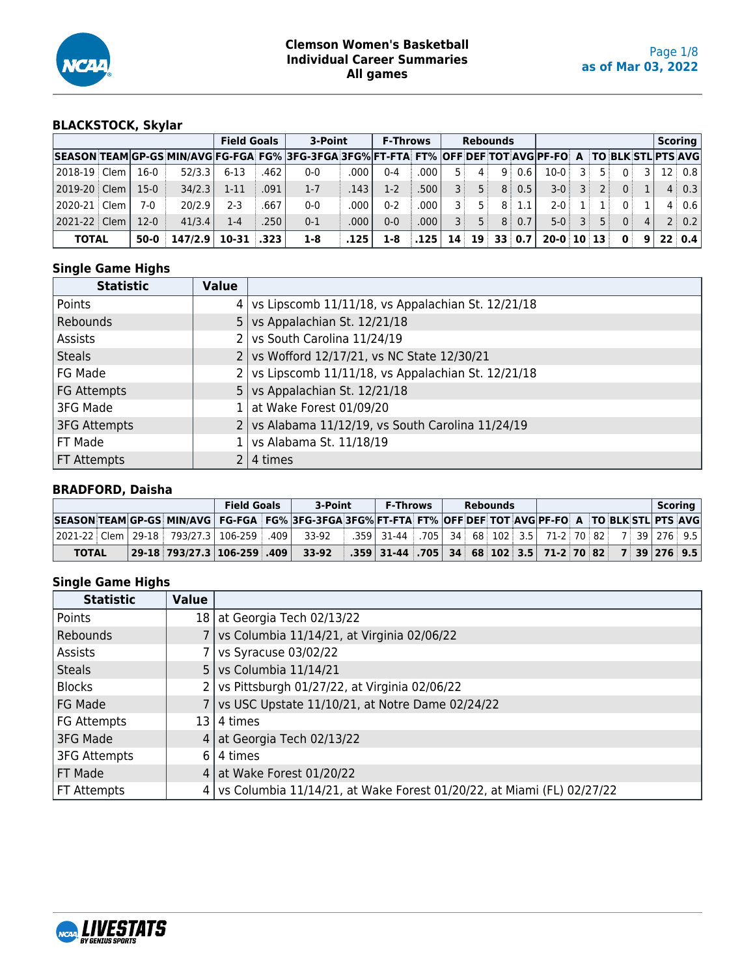

# **BLACKSTOCK, Skylar**

|                                                                                                           |        |         |                | <b>Field Goals</b> | 3-Point |      | <b>F-Throws</b> |               |          |              | <b>Rebounds</b>         |       |              |              |     |              |         | Scoring            |
|-----------------------------------------------------------------------------------------------------------|--------|---------|----------------|--------------------|---------|------|-----------------|---------------|----------|--------------|-------------------------|-------|--------------|--------------|-----|--------------|---------|--------------------|
| SEASON TEAMIGP-GS MIN/AVGIFG-FGA FG% 3FG-3FGA 3FG% FT-FTA FT% OFF DEF TOT AVGIPF-FO A TO BLK STLIPTS AVGI |        |         |                |                    |         |      |                 |               |          |              |                         |       |              |              |     |              |         |                    |
|                                                                                                           | $16-0$ | 52/3.3  | $6 - 13$       | .462               | $0 - 0$ | .000 | $0 - 4$         | ا 000.        |          | $\mathbf{4}$ |                         | 9:0.6 | $10-0$       | 3 :          | 5 : | $\Omega$     |         | $12 \mid 0.8 \mid$ |
| 2019-20 Clem                                                                                              | $15-0$ | 34/2.3  | $1 - 11$       | .091               | $1 - 7$ | .143 | $1-2$           | ا 500.        | 3 i      | 5 :          | 8 :                     | 0.5   | $3-0$        | $\mathbf{3}$ | 2:  | 0:           |         | $4 \mid 0.3 \mid$  |
| 2020-21   Clem                                                                                            | 7-0    | 20/2.9  | $2-3$          | 667                | $0 - 0$ | .000 | $0 - 2$         | ا 000.        |          | 5 :          | 8 :                     | 1.1   | $2 - 0$      |              |     | $\Omega$ :   |         | 4 0.6              |
| 2021-22 Clem                                                                                              | $12-0$ | 41/3.4  | $1-4$          | .250               | $0 - 1$ | .000 | $0 - 0$         | $.000$ $\mid$ | <b>R</b> | 5 :          | 8                       | 0.7   | $5-0$        | ∶ 3          | 5:  | $\Omega$     | $\vert$ | 2   0.2            |
| <b>TOTAL</b>                                                                                              | $50-0$ | 147/2.9 | $10-31$ $.323$ |                    | 1-8     | .125 | 1-8             | .125          | 14       |              | $19 \quad 33 \quad 0.7$ |       | $20-0$ 10 13 |              |     | $\mathbf{0}$ |         | 22   0.4           |

### **Single Game Highs**

| <b>Statistic</b>    | <b>Value</b> |                                                                |
|---------------------|--------------|----------------------------------------------------------------|
| Points              |              | $4$ vs Lipscomb 11/11/18, vs Appalachian St. 12/21/18          |
| Rebounds            |              | 5   vs Appalachian St. $12/21/18$                              |
| Assists             |              | 2 vs South Carolina $11/24/19$                                 |
| <b>Steals</b>       |              | 2 vs Wofford 12/17/21, vs NC State 12/30/21                    |
| FG Made             |              | $2 \sqrt{9}$ vs Lipscomb 11/11/18, vs Appalachian St. 12/21/18 |
| <b>FG Attempts</b>  |              | 5   vs Appalachian St. $12/21/18$                              |
| 3FG Made            |              | 1   at Wake Forest $01/09/20$                                  |
| <b>3FG Attempts</b> |              | $2 \sqrt{9}$ vs Alabama 11/12/19, vs South Carolina 11/24/19   |
| FT Made             |              | $1$ vs Alabama St. $11/18/19$                                  |
| FT Attempts         |              | 4 times                                                        |

#### **BRADFORD, Daisha**

|                                                                                                          |                                   | <b>Field Goals</b> | 3-Point | <b>F-Throws</b>                                                                 |  | Rebounds |  |  |  | <b>Scoring</b> |
|----------------------------------------------------------------------------------------------------------|-----------------------------------|--------------------|---------|---------------------------------------------------------------------------------|--|----------|--|--|--|----------------|
| SEASON TEAM GP-GS MIN/AVG FG-FGA FG% 3FG-3FGA 3FG% FT-FTA FT% OFF DEF TOT AVG PF-FO A TO BLK STL PTS AVG |                                   |                    |         |                                                                                 |  |          |  |  |  |                |
| 2021-22 Clem   29-18   793/27.3   106-259   .409                                                         |                                   |                    | 33-92   | .359 31-44 .705 34 68 102 3.5 71-2 70 82 7 39 276 9.5                           |  |          |  |  |  |                |
| <b>TOTAL</b>                                                                                             | 29-18   793/27.3   106-259   .409 |                    | 33-92   | .359   31-44   .705   34   68   102   3.5   71-2   70   82   7   39   276   9.5 |  |          |  |  |  |                |

| <b>Statistic</b>    | <b>Value</b>   |                                                                       |
|---------------------|----------------|-----------------------------------------------------------------------|
| Points              | 18 I           | at Georgia Tech 02/13/22                                              |
| Rebounds            |                | vs Columbia 11/14/21, at Virginia 02/06/22                            |
| Assists             |                | vs Syracuse 03/02/22                                                  |
| <b>Steals</b>       | 5 <sub>1</sub> | vs Columbia 11/14/21                                                  |
| <b>Blocks</b>       |                | vs Pittsburgh 01/27/22, at Virginia 02/06/22                          |
| FG Made             |                | vs USC Upstate 11/10/21, at Notre Dame 02/24/22                       |
| FG Attempts         | 13             | 4 times                                                               |
| 3FG Made            | 4              | at Georgia Tech 02/13/22                                              |
| <b>3FG Attempts</b> | 6              | 4 times                                                               |
| FT Made             | 4'             | at Wake Forest 01/20/22                                               |
| FT Attempts         | 4              | vs Columbia 11/14/21, at Wake Forest 01/20/22, at Miami (FL) 02/27/22 |

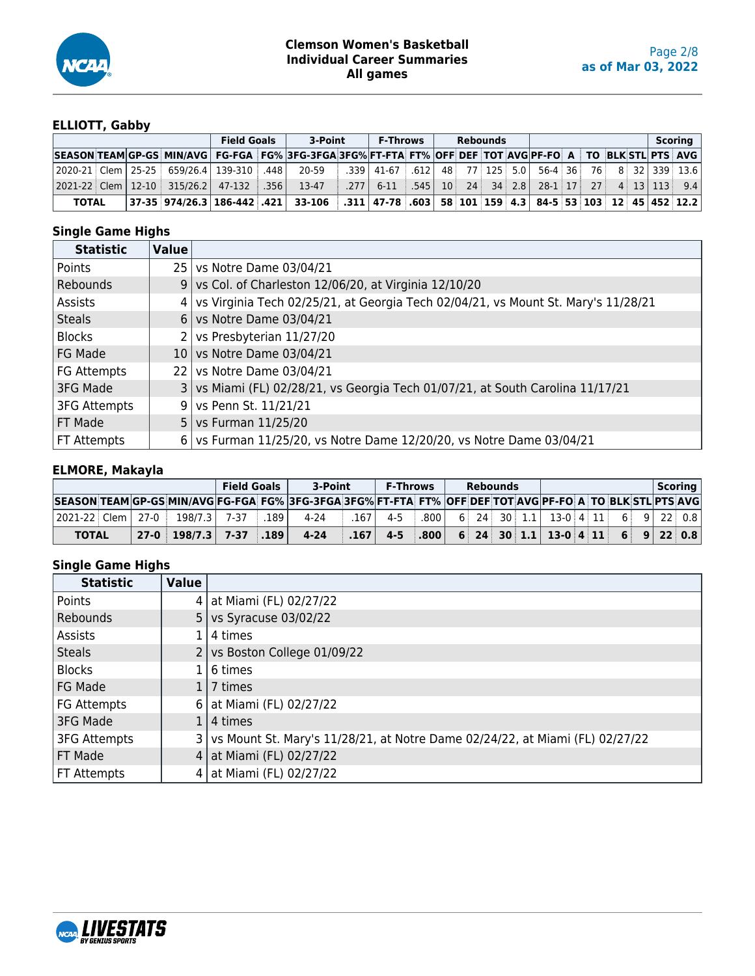

#### **ELLIOTT, Gabby**

|                                                                                                                                           |  |  | <b>Field Goals</b> | 3-Point                                                                                                                         | F-Throws              |  | <b>Rebounds</b> |                                                                            |  |  | Scoring |
|-------------------------------------------------------------------------------------------------------------------------------------------|--|--|--------------------|---------------------------------------------------------------------------------------------------------------------------------|-----------------------|--|-----------------|----------------------------------------------------------------------------|--|--|---------|
| SEASON TEAM GP-GS MIN/AVG FG-FGA FG% 3FG-3FGA 3FG% FT-FTA FT% OFF DEF TOT AVG PF-FO A TO BLK STL PTS AVG                                  |  |  |                    |                                                                                                                                 |                       |  |                 |                                                                            |  |  |         |
| 2020-21 Clem 25-25   659/26.4   139-310   .448   20-59   .339   41-67   .612   48   77   125   5.0   56-4   36   76   8   32   339   13.6 |  |  |                    |                                                                                                                                 |                       |  |                 |                                                                            |  |  |         |
| $ 2021-22 $ Clem $ 12-10 $ 315/26.2 47-132 356                                                                                            |  |  |                    | 13-47                                                                                                                           | $.277 \mid 6-11 \mid$ |  |                 | $\parallel$ 545   10   24   34   2.8   28-1   17   27   4   13   113   9.4 |  |  |         |
| <b>TOTAL</b>                                                                                                                              |  |  |                    | 37-35  974/26.3   186-442   .421   33-106   .311   47-78   .603   58   101   159   4.3   84-5   53   103   12   45   452   12.2 |                       |  |                 |                                                                            |  |  |         |

## **Single Game Highs**

| <b>Statistic</b>    | Value           |                                                                                   |
|---------------------|-----------------|-----------------------------------------------------------------------------------|
| Points              | 251             | vs Notre Dame 03/04/21                                                            |
| Rebounds            | 9.              | vs Col. of Charleston 12/06/20, at Virginia 12/10/20                              |
| Assists             | 4               | vs Virginia Tech 02/25/21, at Georgia Tech 02/04/21, vs Mount St. Mary's 11/28/21 |
| <b>Steals</b>       | 6 I             | vs Notre Dame 03/04/21                                                            |
| <b>Blocks</b>       |                 | vs Presbyterian 11/27/20                                                          |
| FG Made             | 10 <sub>1</sub> | vs Notre Dame 03/04/21                                                            |
| FG Attempts         | 22 I            | vs Notre Dame 03/04/21                                                            |
| 3FG Made            | $\overline{3}$  | vs Miami (FL) 02/28/21, vs Georgia Tech 01/07/21, at South Carolina 11/17/21      |
| <b>3FG Attempts</b> | 9               | vs Penn St. 11/21/21                                                              |
| FT Made             | 5 <sup>1</sup>  | vs Furman 11/25/20                                                                |
| FT Attempts         | 6 I             | vs Furman 11/25/20, vs Notre Dame 12/20/20, vs Notre Dame 03/04/21                |

## **ELMORE, Makayla**

|                                                                                                          |  |                          |  | <b>Field Goals</b> | 3-Point  | <b>F-Throws</b>                                                                |  | <b>Rebounds</b> |                                                      |  |  | Scoring |
|----------------------------------------------------------------------------------------------------------|--|--------------------------|--|--------------------|----------|--------------------------------------------------------------------------------|--|-----------------|------------------------------------------------------|--|--|---------|
| SEASON TEAM GP-GS MIN/AVG FG-FGA FG% 3FG-3FGA 3FG% FT-FTA FT% OFF DEF TOT AVG PF-FO A TO BLK STL PTS AVG |  |                          |  |                    |          |                                                                                |  |                 |                                                      |  |  |         |
| 2021-22   Clem   27-0   198/7.3   7-37                                                                   |  |                          |  | $\vert$ .189       | 4-24     | $.167$   4-5                                                                   |  |                 | $\vert 0.800 \vert$ 6 24 30 1.1 13-0 4 11 6 9 22 0.8 |  |  |         |
| <b>TOTAL</b>                                                                                             |  | $27-0$ 198/7.3 7-37 .189 |  |                    | $4 - 24$ | $\vert$ 167   4-5   800   6   24   30   1.1   13-0   4   11   6   9   22   0.8 |  |                 |                                                      |  |  |         |

| <b>Statistic</b>    | <b>Value</b> |                                                                                  |
|---------------------|--------------|----------------------------------------------------------------------------------|
| Points              |              | 4   at Miami (FL) 02/27/22                                                       |
| Rebounds            |              | 5   vs Syracuse $03/02/22$                                                       |
| Assists             |              | 1   4 times                                                                      |
| <b>Steals</b>       |              | 2   vs Boston College $01/09/22$                                                 |
| <b>Blocks</b>       |              | $1\vert 6$ times                                                                 |
| FG Made             |              | $117$ times                                                                      |
| FG Attempts         |              | 6   at Miami (FL) 02/27/22                                                       |
| 3FG Made            |              | $1 4$ times                                                                      |
| <b>3FG Attempts</b> |              | 3   vs Mount St. Mary's 11/28/21, at Notre Dame 02/24/22, at Miami (FL) 02/27/22 |
| FT Made             |              | 4   at Miami (FL) 02/27/22                                                       |
| FT Attempts         |              | 4   at Miami (FL) 02/27/22                                                       |

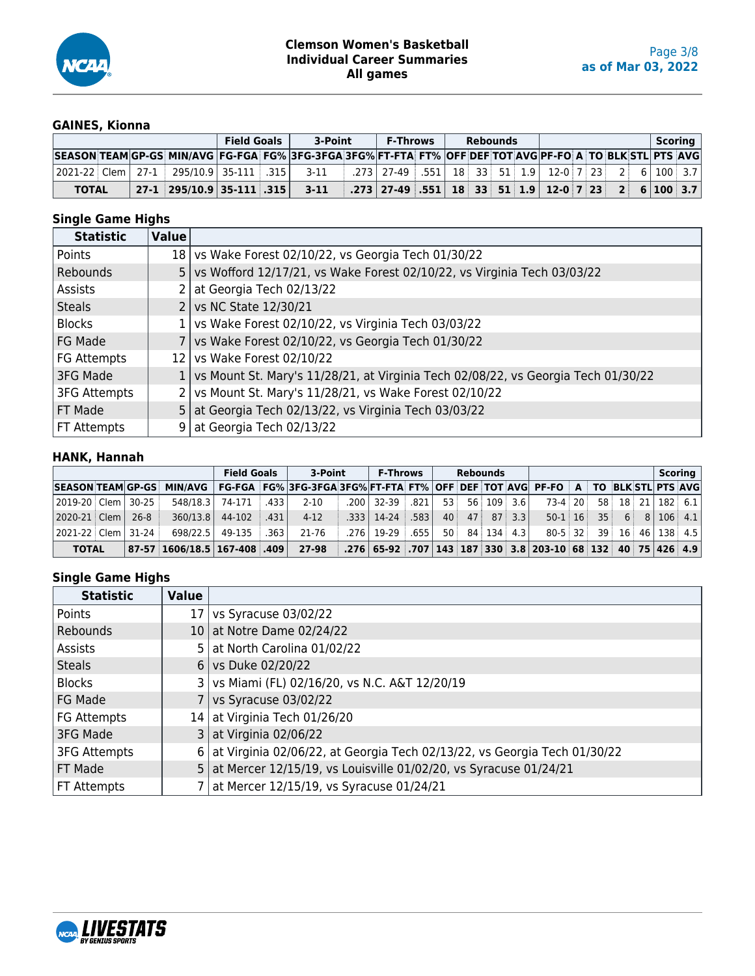

## **GAINES, Kionna**

|              |  |  |  | <b>Field Goals</b> | 3-Point                                                                                                                          | <b>F-Throws</b>                                                                                    |  | <b>Rebounds</b> |  |  |  |  | Scoring |
|--------------|--|--|--|--------------------|----------------------------------------------------------------------------------------------------------------------------------|----------------------------------------------------------------------------------------------------|--|-----------------|--|--|--|--|---------|
|              |  |  |  |                    | SEASON TEAM GP-GS MIN/AVG FG-FGA FG% 3FG-3FGA 3FG% FT-FTA FT% OFF DEF TOT AVG PF-FO A TO BLK STL PTS AVG                         |                                                                                                    |  |                 |  |  |  |  |         |
|              |  |  |  |                    | 2021-22 Clem   27-1   295/10.9   35-111   .315       3-11                                                                        | $\therefore$ 273   27-49 $\therefore$ 551   18   33   51   1.9   12-0   7   23   2   6   100   3.7 |  |                 |  |  |  |  |         |
| <b>TOTAL</b> |  |  |  |                    | 27-1   295/10.9   35-111   .315       3-11         .273   27-49   .551   18   33   51   1.9   12-0  7   23   2     6   100   3.7 |                                                                                                    |  |                 |  |  |  |  |         |

## **Single Game Highs**

| <b>Statistic</b>    | Value |                                                                                     |
|---------------------|-------|-------------------------------------------------------------------------------------|
| Points              |       | 18 vs Wake Forest 02/10/22, vs Georgia Tech 01/30/22                                |
| Rebounds            |       | 5 vs Wofford 12/17/21, vs Wake Forest 02/10/22, vs Virginia Tech 03/03/22           |
| Assists             |       | 2   at Georgia Tech 02/13/22                                                        |
| <b>Steals</b>       |       | 2   vs NC State 12/30/21                                                            |
| <b>Blocks</b>       |       | $1$ vs Wake Forest 02/10/22, vs Virginia Tech 03/03/22                              |
| FG Made             |       | 7   vs Wake Forest 02/10/22, vs Georgia Tech 01/30/22                               |
| FG Attempts         |       | 12 vs Wake Forest 02/10/22                                                          |
| 3FG Made            |       | 1 vs Mount St. Mary's 11/28/21, at Virginia Tech 02/08/22, vs Georgia Tech 01/30/22 |
| <b>3FG Attempts</b> |       | $2$ vs Mount St. Mary's 11/28/21, vs Wake Forest 02/10/22                           |
| FT Made             |       | 5   at Georgia Tech 02/13/22, vs Virginia Tech 03/03/22                             |
| FT Attempts         |       | 9   at Georgia Tech 02/13/22                                                        |

#### **HANK, Hannah**

|                        |  |         |                                  | <b>Field Goals</b>  |                  | 3-Point                                                                                               | <b>F-Throws</b>     |  | Rebounds              |  |                                                                                       |  |   |  | Scoring   |
|------------------------|--|---------|----------------------------------|---------------------|------------------|-------------------------------------------------------------------------------------------------------|---------------------|--|-----------------------|--|---------------------------------------------------------------------------------------|--|---|--|-----------|
|                        |  |         | SEASON TEAM GP-GS MIN/AVG        |                     |                  | FG-FGA   FG%  3FG-3FGA 3FG%  FT-FTA   FT%   OFF   DEF   TOT  AVG   PF-FO   A   TO  BLK STL   PTS  AVG |                     |  |                       |  |                                                                                       |  |   |  |           |
| 2019-20   Clem   30-25 |  |         |                                  | 548/18.3 74-171 433 |                  | $2 - 10$                                                                                              | .200 32-39 .821     |  | $53$ $56$ $109$ $3.6$ |  | 73-4 20 58 18 21 182 6.1                                                              |  |   |  |           |
|                        |  | 26-8    | 360/13.8                         | 44-102              | .431             | $4-12$                                                                                                | .333   14-24   .583 |  | $ 40 $ 47 87 3.3      |  | $50-1$ 16 35                                                                          |  | 6 |  | 8 106 4.1 |
| 2021-22   Clem         |  | $31-24$ | 698/22.5 49-135                  |                     | $\therefore$ 363 | 21-76                                                                                                 | .276   19-29   .655 |  | $50$ 84 134 4.3       |  | 80-5 32 39 16 46 138 4.5                                                              |  |   |  |           |
| <b>TOTAL</b>           |  |         | $ 87-57 1606/18.5 167-408 .409 $ |                     |                  | 27-98                                                                                                 |                     |  |                       |  | .276   65-92   .707   143   187   330   3.8   203-10   68   132   40   75   426   4.9 |  |   |  |           |

| <b>Statistic</b>    | <b>Value</b> |                                                                            |
|---------------------|--------------|----------------------------------------------------------------------------|
| Points              |              | 17   vs Syracuse 03/02/22                                                  |
| Rebounds            |              | 10 at Notre Dame 02/24/22                                                  |
| Assists             |              | 5   at North Carolina 01/02/22                                             |
| <b>Steals</b>       |              | 6 vs Duke 02/20/22                                                         |
| <b>Blocks</b>       |              | 3   vs Miami (FL) 02/16/20, vs N.C. A&T 12/20/19                           |
| FG Made             |              | vs Syracuse 03/02/22                                                       |
| FG Attempts         |              | 14 at Virginia Tech 01/26/20                                               |
| 3FG Made            |              | $3$ at Virginia 02/06/22                                                   |
| <b>3FG Attempts</b> |              | 6 at Virginia 02/06/22, at Georgia Tech 02/13/22, vs Georgia Tech 01/30/22 |
| FT Made             |              | 5 at Mercer 12/15/19, vs Louisville 01/02/20, vs Syracuse 01/24/21         |
| FT Attempts         |              | 7 at Mercer 12/15/19, vs Syracuse 01/24/21                                 |

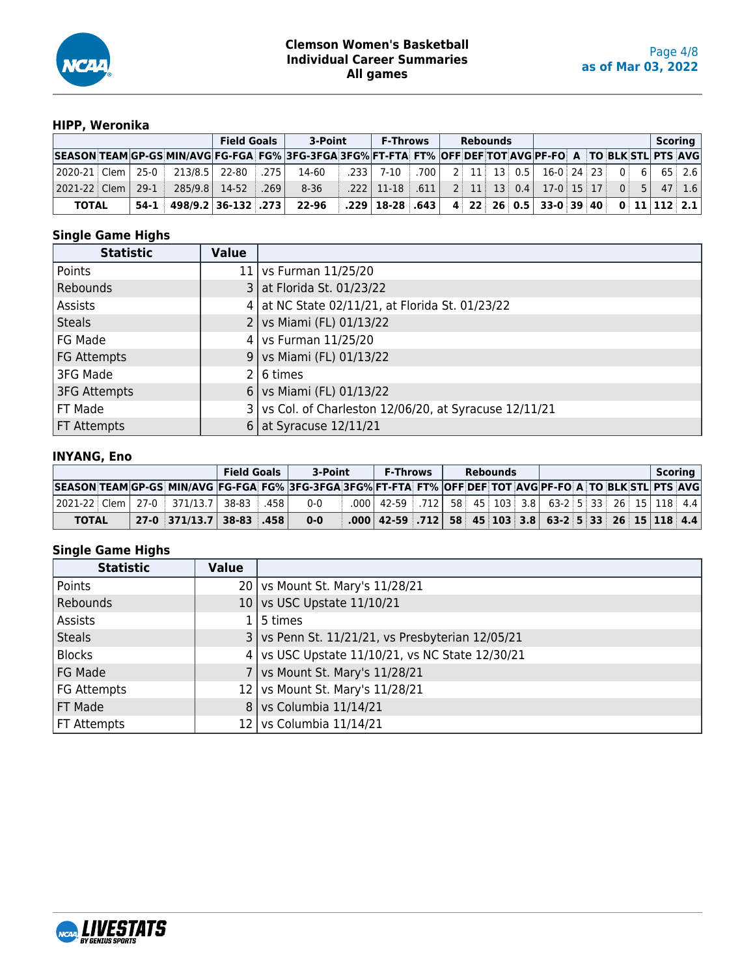

## **HIPP, Weronika**

|                |        |                            | <b>Field Goals</b> |      | 3-Point                                                                                                  | <b>F-Throws</b>        |      | <b>Rebounds</b> |  |                                      |  |  | Scoring                        |  |
|----------------|--------|----------------------------|--------------------|------|----------------------------------------------------------------------------------------------------------|------------------------|------|-----------------|--|--------------------------------------|--|--|--------------------------------|--|
|                |        |                            |                    |      | SEASON TEAM GP-GS MIN/AVG FG-FGA FG% 3FG-3FGA 3FG% FT-FTA FT% OFF DEF TOT AVG PF-FO A TO BLK STL PTS AVG |                        |      |                 |  |                                      |  |  |                                |  |
|                |        | 213/8.5 22-80 275          |                    |      | 14-60                                                                                                    | $.233$ 7-10            | .700 |                 |  | 2 11 13 0.5 16-0 24 23               |  |  | $0 \quad 6 \quad 65 \quad 2.6$ |  |
| 2021-22   Clem | $29-1$ | 285/9.8 14-52              |                    | .269 | $8 - 36$                                                                                                 | $.222$   11-18 $ .611$ |      |                 |  | $2$ 11 13 0.4 17-0 15 17 0 5 47 1.6  |  |  |                                |  |
| <b>TOTAL</b>   |        | $54-1$ 498/9.2 36-132 .273 |                    |      | 22-96                                                                                                    | .229   18-28   .643    |      |                 |  | $4$ 22 26 0.5 33-0 39 40 0 11 12 2.1 |  |  |                                |  |

#### **Single Game Highs**

| <b>Statistic</b>    | Value |                                                          |
|---------------------|-------|----------------------------------------------------------|
| Points              |       | 11   vs Furman $11/25/20$                                |
| Rebounds            |       | $3$ at Florida St. 01/23/22                              |
| Assists             | 4     | at NC State 02/11/21, at Florida St. 01/23/22            |
| <b>Steals</b>       |       | 2   vs Miami (FL) 01/13/22                               |
| FG Made             |       | 4   vs Furman $11/25/20$                                 |
| FG Attempts         |       | 9   vs Miami (FL) 01/13/22                               |
| 3FG Made            |       | 16 times                                                 |
| <b>3FG Attempts</b> |       | 6   vs Miami (FL) $01/13/22$                             |
| FT Made             |       | $3$ vs Col. of Charleston 12/06/20, at Syracuse 12/11/21 |
| FT Attempts         | 6     | $at$ Syracuse 12/11/21                                   |

#### **INYANG, Eno**

|              |  |                                                      | <b>Field Goals</b> | 3-Point                                                                                                  | <b>F-Throws</b>                                                                                                                        |  | <b>Rebounds</b> |  |  |  | Scoring |
|--------------|--|------------------------------------------------------|--------------------|----------------------------------------------------------------------------------------------------------|----------------------------------------------------------------------------------------------------------------------------------------|--|-----------------|--|--|--|---------|
|              |  |                                                      |                    | SEASON TEAM GP-GS MIN/AVG FG-FGA FG% 3FG-3FGA 3FG% FT-FTA FT% OFF DEF TOT AVG PF-FO A TO BLK STL PTS AVG |                                                                                                                                        |  |                 |  |  |  |         |
|              |  | $ 2021-22 $ Clem $ 27-0 $ $ 371/13.7 $ 38-83 $ 368 $ |                    | 0-0                                                                                                      | $0.000$   42-59 $\lfloor .712 \rfloor$ 58   45   103   3.8   63-2   5   33   26   15   118   4.4                                       |  |                 |  |  |  |         |
| <b>TOTAL</b> |  | 。27-0 ∃371/13.7 ∃38-83 ∃.458 ∐                       |                    | $0 - 0$                                                                                                  | $\mid .000 \mid 42 - 59 \mid .712 \mid 58 \mid 45 \mid 103 \mid 3.8 \mid 63 - 2 \mid 5 \mid 33 \mid 26 \mid 15 \mid 118 \mid 4.4 \mid$ |  |                 |  |  |  |         |

| <b>Statistic</b>   | <b>Value</b>    |                                                    |
|--------------------|-----------------|----------------------------------------------------|
| Points             |                 | 20   vs Mount St. Mary's 11/28/21                  |
| Rebounds           | 10 <sub>1</sub> | vs USC Upstate 11/10/21                            |
| Assists            |                 | $1 5$ times                                        |
| <b>Steals</b>      |                 | 3   vs Penn St. 11/21/21, vs Presbyterian 12/05/21 |
| <b>Blocks</b>      | 4               | vs USC Upstate 11/10/21, vs NC State 12/30/21      |
| FG Made            |                 | vs Mount St. Mary's 11/28/21                       |
| <b>FG Attempts</b> | 12 I            | vs Mount St. Mary's 11/28/21                       |
| FT Made            | 8               | vs Columbia 11/14/21                               |
| FT Attempts        | 12 I            | vs Columbia 11/14/21                               |

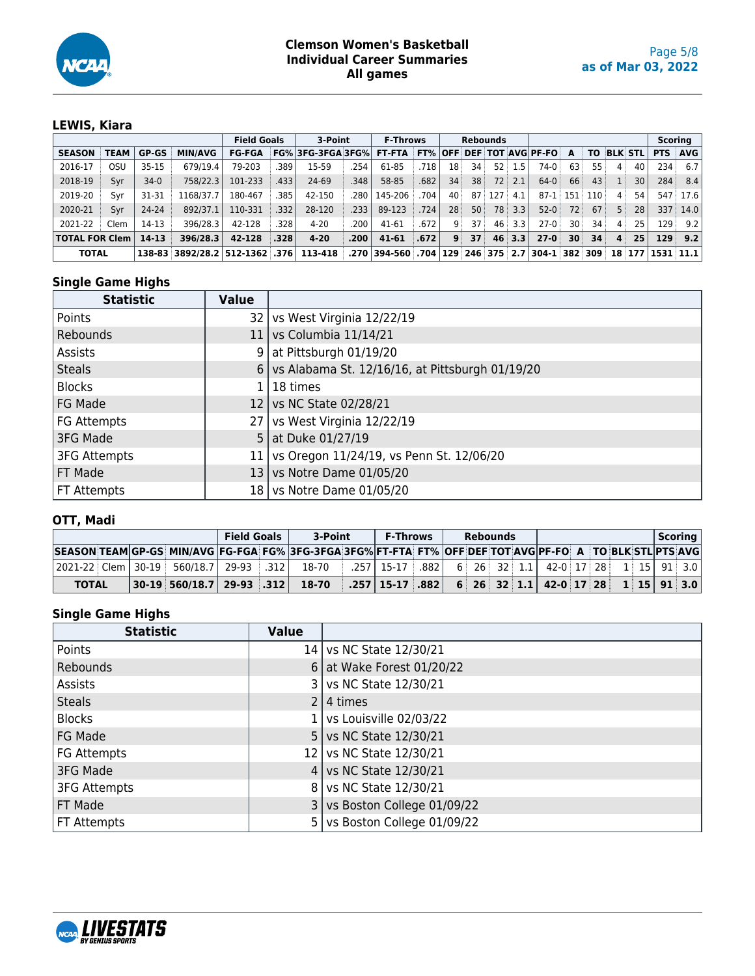

## **LEWIS, Kiara**

|                       |             |              |                                |               | <b>Field Goals</b> | 3-Point                         |               | <b>F-Throws</b>                         |      |    |                 | Rebounds        |          |                   |                 |                 |                |     | <b>Scoring</b>   |            |
|-----------------------|-------------|--------------|--------------------------------|---------------|--------------------|---------------------------------|---------------|-----------------------------------------|------|----|-----------------|-----------------|----------|-------------------|-----------------|-----------------|----------------|-----|------------------|------------|
| <b>SEASON</b>         | <b>TEAM</b> | <b>GP-GS</b> | <b>MIN/AVG</b>                 | <b>FG-FGA</b> |                    | $FG\%$ 3FG-3FGA 3FG $\%$ $\mid$ |               | <b>FT-FTA FT% OFF DEF TOT AVG PF-FO</b> |      |    |                 |                 |          |                   | A               | TO              | <b>BLK STL</b> |     | <b>PTS</b>       | <b>AVG</b> |
| 2016-17               | osu         | $35 - 15$    | 679/19.4                       | 79-203        | .389               | 15-59                           | 254           | 61-85                                   | .718 | 18 | 34              | 52              | 1.5      | $74-0$            | 63              | 55.             | 4              | 40  | 234              | 6.7        |
| 2018-19               | Svr         | $34-0$       | 758/22.3                       | 101-233       | .433               | 24-69                           | .348          | 58-85                                   | .682 | 34 | 38 <sup>3</sup> | 72 <sub>3</sub> | 2.1      | $64-0$            | 66              | 43              |                | 30  | 284              | 8.4        |
| 2019-20               | Svr         | 31-31        | 1168/37.7                      | 180-467       | .385               | 42-150                          | 280           | 145-206                                 | 704  | 40 |                 | 87 127          | 4.1      | 87-1 151          |                 | 110             | $\mathbf{4}$   | 54. |                  | 547 17.6   |
| 2020-21               | Svr         | 24-24        | 892/37.1                       | 110-331       | .332               | 28-120                          | $.233$ $\mid$ | 89-123                                  | .724 | 28 | 50 <sup>3</sup> | 78              | 3.3      | $52-0$            | 72              | 67 <sup>1</sup> | 5              | 28  | 337              | 14.0       |
| 2021-22               | Clem        | 14-13        | 396/28.3                       | 42-128        | .328               | $4 - 20$                        | 200           | 41-61                                   | .672 | -9 | 37 <sup>1</sup> | 46              | 3.3      | $27-0$            | 30 <sup>1</sup> | 34 <sup>3</sup> | 4              | 25  | 129              | 9.2        |
| <b>TOTAL FOR Clem</b> |             | 14-13        | 396/28.3                       | 42-128        | .328               | $4 - 20$                        | .200          | 41-61                                   | .672 | 9  | 37 <sup>1</sup> |                 | $46$ 3.3 | $27 - 0$          | 30 <sup>1</sup> | 34 <sup>3</sup> | $\overline{4}$ | 25  | 129              | 9.2        |
| <b>TOTAL</b>          |             |              | 138-83 3892/28.2 512-1362 .376 |               |                    | 113-418                         |               | ॑ 2.70 394-560 704 229 246 375 2.7 .    |      |    |                 |                 |          | $304 - 1$ 382 309 |                 |                 |                |     | 18 177 1531 11.1 |            |

## **Single Game Highs**

| <b>Statistic</b>    | <b>Value</b> |                                                   |
|---------------------|--------------|---------------------------------------------------|
| Points              |              | 32   vs West Virginia 12/22/19                    |
| Rebounds            |              | 11   vs Columbia $11/14/21$                       |
| Assists             |              | 9   at Pittsburgh 01/19/20                        |
| <b>Steals</b>       |              | 6 vs Alabama St. 12/16/16, at Pittsburgh 01/19/20 |
| <b>Blocks</b>       |              | $1 18$ times                                      |
| FG Made             |              | 12 vs NC State 02/28/21                           |
| FG Attempts         |              | 27   vs West Virginia 12/22/19                    |
| 3FG Made            |              | 5   at Duke $01/27/19$                            |
| <b>3FG Attempts</b> |              | 11 vs Oregon 11/24/19, vs Penn St. 12/06/20       |
| FT Made             |              | 13 vs Notre Dame 01/05/20                         |
| FT Attempts         |              | 18 vs Notre Dame 01/05/20                         |

#### **OTT, Madi**

|              |  |                                                | <b>Field Goals</b> | 3-Point                                                                                                  | <b>F-Throws</b>                         |  | <b>Rebounds</b> |  |                                    |  |  | Scoring |
|--------------|--|------------------------------------------------|--------------------|----------------------------------------------------------------------------------------------------------|-----------------------------------------|--|-----------------|--|------------------------------------|--|--|---------|
|              |  |                                                |                    | SEASON TEAM GP-GS MIN/AVG FG-FGA FG% 3FG-3FGA 3FG% FT-FTA FT% OFF DEF TOT AVG PF-FO A TO BLK STL PTS AVG |                                         |  |                 |  |                                    |  |  |         |
|              |  | 2021-22 Clem   30-19   560/18.7   29-93   .312 |                    | 18-70                                                                                                    | . 257   15-17   .882                    |  |                 |  | 6 26 32 1.1 42-0 17 28 1 15 91 3.0 |  |  |         |
| <b>TOTAL</b> |  | $ 30-19 560/18.7 29-93 .312 $                  |                    | 18-70                                                                                                    | $\mid .257 \mid 15 - 17 \mid .882 \mid$ |  |                 |  | 6 26 32 1.1 42-0 17 28 1 15 91 3.0 |  |  |         |

| <b>Statistic</b>    | <b>Value</b> |                               |
|---------------------|--------------|-------------------------------|
| Points              |              | 14   vs NC State 12/30/21     |
| Rebounds            |              | 6   at Wake Forest $01/20/22$ |
| Assists             |              | vs NC State 12/30/21          |
| <b>Steals</b>       |              | $2 \mid 4 \text{ times}$      |
| <b>Blocks</b>       |              | vs Louisville 02/03/22        |
| FG Made             |              | 5   vs NC State 12/30/21      |
| <b>FG Attempts</b>  | 12 I         | vs NC State 12/30/21          |
| 3FG Made            |              | 4   vs NC State 12/30/21      |
| <b>3FG Attempts</b> | 81           | vs NC State 12/30/21          |
| FT Made             |              | vs Boston College 01/09/22    |
| FT Attempts         |              | vs Boston College 01/09/22    |

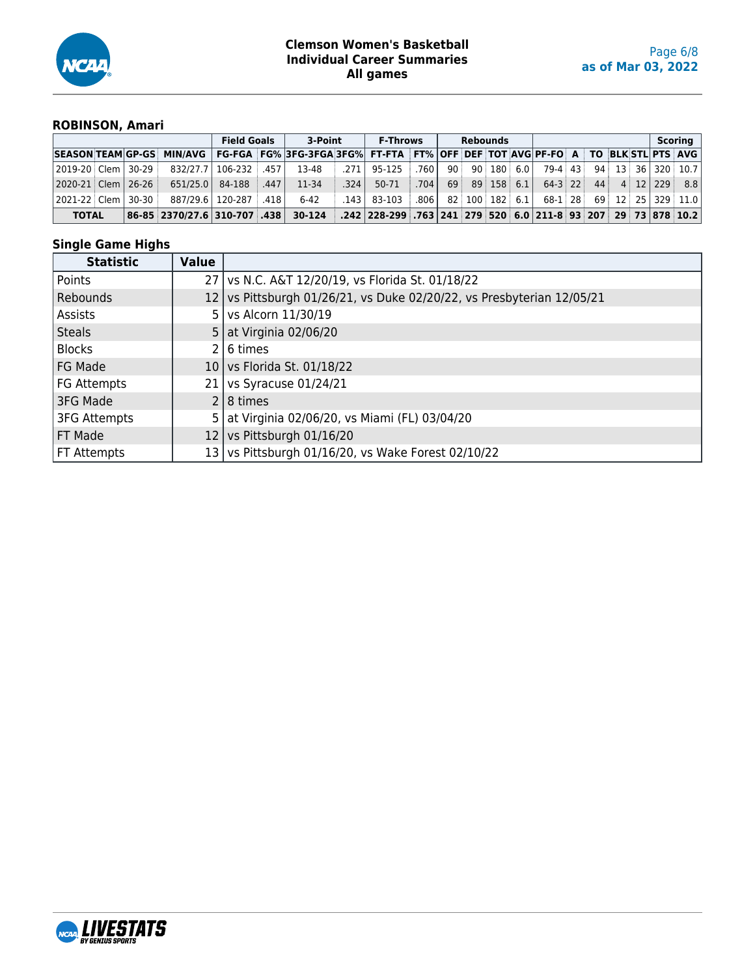

### **ROBINSON, Amari**

|                        |          |                                                                                                                        | <b>Field Goals</b>        |      | 3-Point  |        | <b>F-Throws</b>                                                                         |                   |    | <b>Rebounds</b>   |                             |                             |  |  | Scorina                   |
|------------------------|----------|------------------------------------------------------------------------------------------------------------------------|---------------------------|------|----------|--------|-----------------------------------------------------------------------------------------|-------------------|----|-------------------|-----------------------------|-----------------------------|--|--|---------------------------|
|                        |          | SEASON TEAM GP-GS MIN/AVG   FG-FGA   FG% 3FG-3FGA 3FG%   FT-FTA   FT% OFF DEF TOT AVG PF-FO   A   TO BLK STL PTS   AVG |                           |      |          |        |                                                                                         |                   |    |                   |                             |                             |  |  |                           |
| 2019-20   Clem   30-29 |          |                                                                                                                        | 832/27.7   106-232   .457 |      | 13-48    | .271   | 95-125                                                                                  | .760              | 90 |                   | $90 \mid 180 \mid 6.0 \mid$ |                             |  |  | 79-4 43 94 13 36 320 10.7 |
| 2020-21   Clem         | $126-26$ | 651/25.0                                                                                                               | 84-188                    | .447 | 11-34    | .324   | 50-71                                                                                   | .704              |    | $69$ $89$ 158 6.1 |                             | $64-3$ 22 44 4 12 229       |  |  | 8.8                       |
| l 2021-22 i Clem l     | $30-30$  |                                                                                                                        | 887/29.6   120-287        | .418 | $6 - 42$ | ا 143. | 83-103                                                                                  | .806 <sub>1</sub> |    | 82 100 182 6.1    |                             | $68-1$ 28 69 12 25 329 11.0 |  |  |                           |
| <b>TOTAL</b>           |          | 138. 1370/27.6   310-707   338.                                                                                        |                           |      | 30-124   |        | .242   228-299   .763   241   279   520   6.0   211-8   93   207   29   73   878   10.2 |                   |    |                   |                             |                             |  |  |                           |

| <b>Statistic</b>    | Value |                                                                         |
|---------------------|-------|-------------------------------------------------------------------------|
| Points              |       | 27   vs N.C. A&T 12/20/19, vs Florida St. 01/18/22                      |
| Rebounds            |       | 12   vs Pittsburgh 01/26/21, vs Duke 02/20/22, vs Presbyterian 12/05/21 |
| Assists             | 5.    | vs Alcorn 11/30/19                                                      |
| <b>Steals</b>       |       | 5   at Virginia 02/06/20                                                |
| <b>Blocks</b>       |       | 6 times                                                                 |
| FG Made             | 10    | vs Florida St. 01/18/22                                                 |
| FG Attempts         | 21    | Vs Syracuse 01/24/21                                                    |
| 3FG Made            |       | $2 8 \times 1$                                                          |
| <b>3FG Attempts</b> | 5     | at Virginia 02/06/20, vs Miami (FL) 03/04/20                            |
| FT Made             | 12    | vs Pittsburgh 01/16/20                                                  |
| FT Attempts         | 13    | vs Pittsburgh 01/16/20, vs Wake Forest 02/10/22                         |

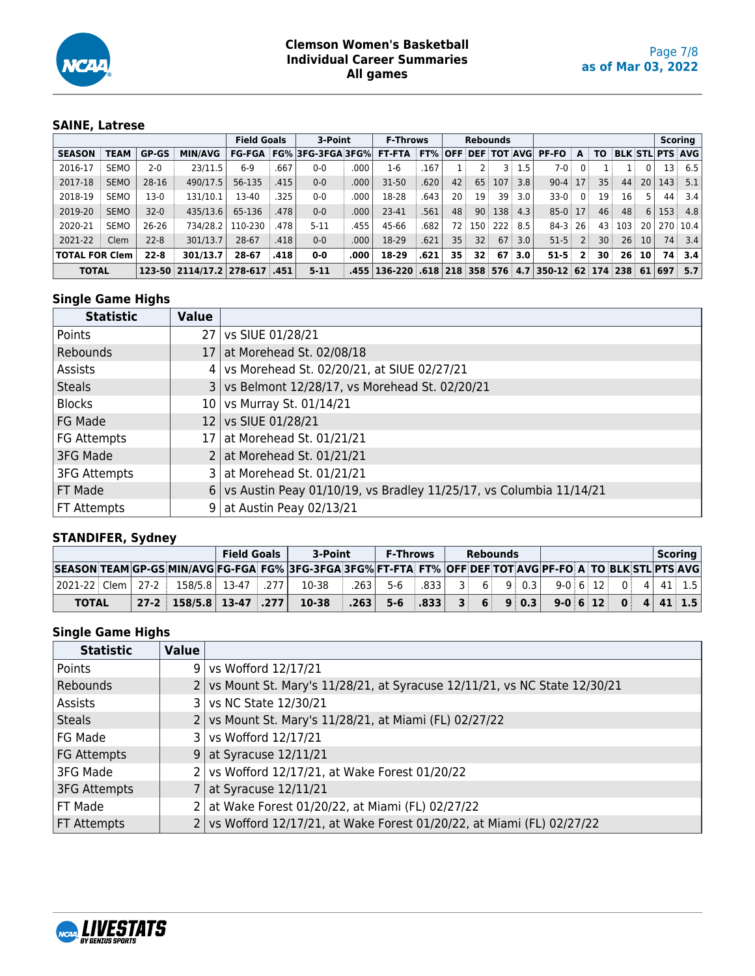

## **SAINE, Latrese**

|                       |             |              |                              |         | <b>Field Goals</b> | 3-Point                        |      | <b>F-Throws</b>                                                                    |      |                 | <b>Rebounds</b> |         |          |              |                |                 |                 |                 |     | <b>Scoring</b>         |
|-----------------------|-------------|--------------|------------------------------|---------|--------------------|--------------------------------|------|------------------------------------------------------------------------------------|------|-----------------|-----------------|---------|----------|--------------|----------------|-----------------|-----------------|-----------------|-----|------------------------|
| <b>SEASON</b>         | TEAM        | <b>GP-GS</b> | <b>MIN/AVG</b>               |         |                    | <b>FG-FGA FG% 3FG-3FGA3FG%</b> |      | <b>FT-FTA FT% OFF DEF TOT AVG</b>                                                  |      |                 |                 |         |          | <b>PF-FO</b> | A              | τo              |                 |                 |     | <b>BLK STL PTS AVG</b> |
| 2016-17               | <b>SEMO</b> | $2 - 0$      | 23/11.5                      | $6-9$   | .667               | $0-0$                          | .000 | $1-6$                                                                              | 167  |                 |                 | 3 :     | 1.5      | 7-0 i        | 0:             |                 |                 |                 | 13  | 6.5                    |
| 2017-18               | <b>SEMO</b> | 28-16        | 490/17.5                     | 56-135  | .415               | $0 - 0$                        | .000 | $31 - 50$                                                                          | .620 | 42              | 65:             | 107     | 3.8      | $90-4$ 17    |                | 35              | 44 <sup>3</sup> | 20 <sup>1</sup> | 143 | 5.1                    |
| 2018-19               | <b>SEMO</b> | 13-0         | 131/10.1                     | 13-40   | .325               | $0-0$                          | .000 | 18-28                                                                              | 643  | 20 <sup>1</sup> | 19 <sup>3</sup> | 39      | 3.0      | $33-0$       | $0^{\circ}$    | 19              | 16 <sup>3</sup> | 5               | 44  | 3.4                    |
| 2019-20               | <b>SEMO</b> | $32 - 0$     | 435/13.6                     | 65-136  | .478               | $0 - 0$                        | .000 | 23-41                                                                              | 561  | 48              | 90 <sup>1</sup> | 138     | 4.3      | $85-0$ 17    |                | 46 <sup>3</sup> | 48              | $6 \mid$        | 153 | 4.8                    |
| 2020-21               | <b>SEMO</b> | $26-26$      | 734/28.2                     | 110-230 | .478               | $5 - 11$                       | .455 | 45-66                                                                              | .682 | 72 <sup>1</sup> |                 | 150 222 | 8.5      | $84-3$ 26    |                |                 | 43 103          | 20              |     | 270 10.4               |
| 2021-22               | Clem        | $22 - 8$     | 301/13.7                     | 28-67   | .418               | $0 - 0$                        | .000 | 18-29                                                                              | .621 | 35              | 32 <sup>3</sup> | 67      | 3.0      | $51 - 5$     | 2 <sup>1</sup> | 30 <sup>1</sup> | 26:             | 10 <sup>1</sup> | 74: | 3.4                    |
| <b>TOTAL FOR Clem</b> |             | $22 - 8$     | 301/13.7                     | 28-67   | .418               | $0-0$                          | .000 | 18-29                                                                              | .621 | 35              | 32 <sup>1</sup> |         | $67$ 3.0 | $51 - 5$     | 2 <sup>1</sup> | 30              | 26 <sup>1</sup> | 10              | 74. | 3.4                    |
| <b>TOTAL</b>          |             |              | 123-50 2114/17.2 278-617 451 |         |                    | $5 - 11$                       |      | .455   136-220   .618   218   358   576   4.7   350-12   62   174   238   61   697 |      |                 |                 |         |          |              |                |                 |                 |                 |     | 5.7                    |

## **Single Game Highs**

| <b>Statistic</b>    | <b>Value</b> |                                                                    |
|---------------------|--------------|--------------------------------------------------------------------|
| Points              |              | 27   vs SIUE 01/28/21                                              |
| Rebounds            |              | 17 at Morehead St. 02/08/18                                        |
| Assists             |              | 4 vs Morehead St. 02/20/21, at SIUE 02/27/21                       |
| <b>Steals</b>       |              | 3 vs Belmont 12/28/17, vs Morehead St. 02/20/21                    |
| <b>Blocks</b>       |              | 10   vs Murray St. 01/14/21                                        |
| FG Made             |              | 12   vs SIUE 01/28/21                                              |
| FG Attempts         |              | 17 at Morehead St. 01/21/21                                        |
| 3FG Made            |              | 2   at Morehead St. $01/21/21$                                     |
| <b>3FG Attempts</b> |              | 3 at Morehead St. 01/21/21                                         |
| FT Made             | 6            | vs Austin Peay 01/10/19, vs Bradley 11/25/17, vs Columbia 11/14/21 |
| FT Attempts         | 9            | at Austin Peay 02/13/21                                            |

## **STANDIFER, Sydney**

|              |  |  |                                             | <b>Field Goals</b> |  | 3-Point                                                                                                  |        | <b>F-Throws</b> |      | <b>Rebounds</b> |                   |  |  |  | $S$ coring            |  |  |
|--------------|--|--|---------------------------------------------|--------------------|--|----------------------------------------------------------------------------------------------------------|--------|-----------------|------|-----------------|-------------------|--|--|--|-----------------------|--|--|
|              |  |  |                                             |                    |  | SEASON TEAM GP-GS MIN/AVG FG-FGA FG% 3FG-3FGA 3FG% FT-FTA FT% OFF DEF TOT AVG PF-FO A TO BLK STL PTS AVG |        |                 |      |                 |                   |  |  |  |                       |  |  |
|              |  |  | 2021-22 Clem   27-2   158/5.8   13-47   277 |                    |  | 10-38                                                                                                    | ا 263. | $5-6$           | .833 | $3 \quad 6$     | 90.31             |  |  |  | $9-0$ 6 12 0 4 41 1.5 |  |  |
| <b>TOTAL</b> |  |  | $27-2$ $158/5.8$ $13-47$ $.277$ $\pm$       |                    |  | $10 - 38$                                                                                                | .263   | $5 - 6$ $.833$  |      |                 | $3 \t6 \t9 \t0.3$ |  |  |  | $9-0$ 6 12 0 4 41 1.5 |  |  |

| <b>Statistic</b>   | Value          |                                                                          |
|--------------------|----------------|--------------------------------------------------------------------------|
| Points             | 9 <sup>1</sup> | vs Wofford 12/17/21                                                      |
| Rebounds           |                | vs Mount St. Mary's 11/28/21, at Syracuse 12/11/21, vs NC State 12/30/21 |
| Assists            |                | vs NC State 12/30/21                                                     |
| Steals             |                | vs Mount St. Mary's 11/28/21, at Miami (FL) 02/27/22                     |
| FG Made            |                | vs Wofford 12/17/21                                                      |
| FG Attempts        | 9              | at Syracuse 12/11/21                                                     |
| 3FG Made           |                | vs Wofford 12/17/21, at Wake Forest 01/20/22                             |
| 3FG Attempts       |                | at Syracuse 12/11/21                                                     |
| FT Made            |                | at Wake Forest 01/20/22, at Miami (FL) 02/27/22                          |
| <b>FT Attempts</b> |                | vs Wofford 12/17/21, at Wake Forest 01/20/22, at Miami (FL) 02/27/22     |